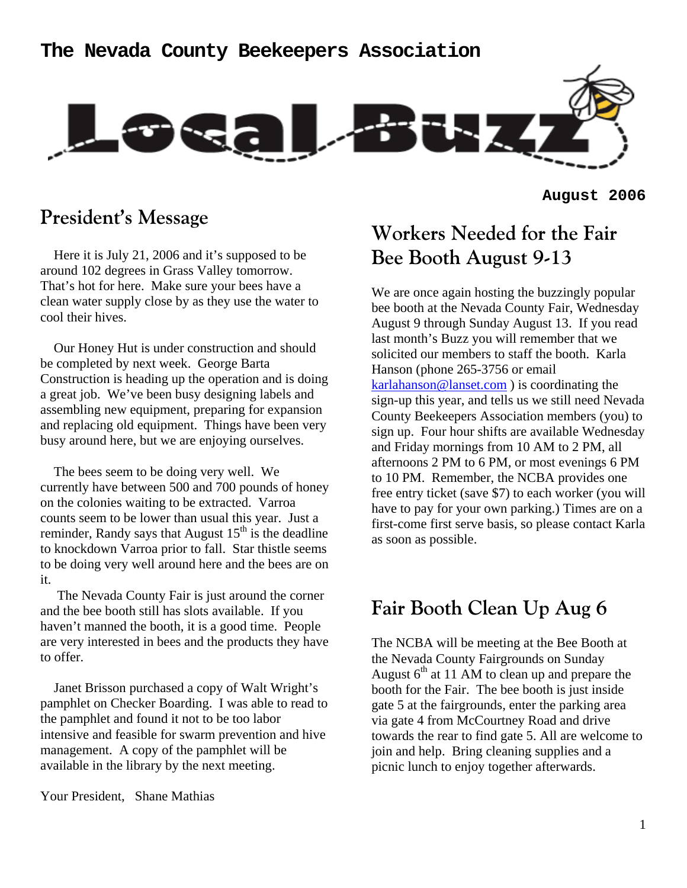## **The Nevada County Beekeepers Association**



**August 2006**

## **President's Message**

 Here it is July 21, 2006 and it's supposed to be around 102 degrees in Grass Valley tomorrow. That's hot for here. Make sure your bees have a clean water supply close by as they use the water to cool their hives.

 Our Honey Hut is under construction and should be completed by next week. George Barta Construction is heading up the operation and is doing a great job. We've been busy designing labels and assembling new equipment, preparing for expansion and replacing old equipment. Things have been very busy around here, but we are enjoying ourselves.

 The bees seem to be doing very well. We currently have between 500 and 700 pounds of honey on the colonies waiting to be extracted. Varroa counts seem to be lower than usual this year. Just a reminder, Randy says that August  $15<sup>th</sup>$  is the deadline to knockdown Varroa prior to fall. Star thistle seems to be doing very well around here and the bees are on it.

 The Nevada County Fair is just around the corner and the bee booth still has slots available. If you haven't manned the booth, it is a good time. People are very interested in bees and the products they have to offer.

 Janet Brisson purchased a copy of Walt Wright's pamphlet on Checker Boarding. I was able to read to the pamphlet and found it not to be too labor intensive and feasible for swarm prevention and hive management. A copy of the pamphlet will be available in the library by the next meeting.

Your President, Shane Mathias

# **Workers Needed for the Fair Bee Booth August 9-13**

We are once again hosting the buzzingly popular bee booth at the Nevada County Fair, Wednesday August 9 through Sunday August 13. If you read last month's Buzz you will remember that we solicited our members to staff the booth. Karla Hanson (phone 265-3756 or email karlahanson@lanset.com ) is coordinating the sign-up this year, and tells us we still need Nevada County Beekeepers Association members (you) to sign up. Four hour shifts are available Wednesday and Friday mornings from 10 AM to 2 PM, all afternoons 2 PM to 6 PM, or most evenings 6 PM to 10 PM. Remember, the NCBA provides one free entry ticket (save \$7) to each worker (you will have to pay for your own parking.) Times are on a first-come first serve basis, so please contact Karla as soon as possible.

## **Fair Booth Clean Up Aug 6**

The NCBA will be meeting at the Bee Booth at the Nevada County Fairgrounds on Sunday August  $6<sup>th</sup>$  at 11 AM to clean up and prepare the booth for the Fair. The bee booth is just inside gate 5 at the fairgrounds, enter the parking area via gate 4 from McCourtney Road and drive towards the rear to find gate 5. All are welcome to join and help. Bring cleaning supplies and a picnic lunch to enjoy together afterwards.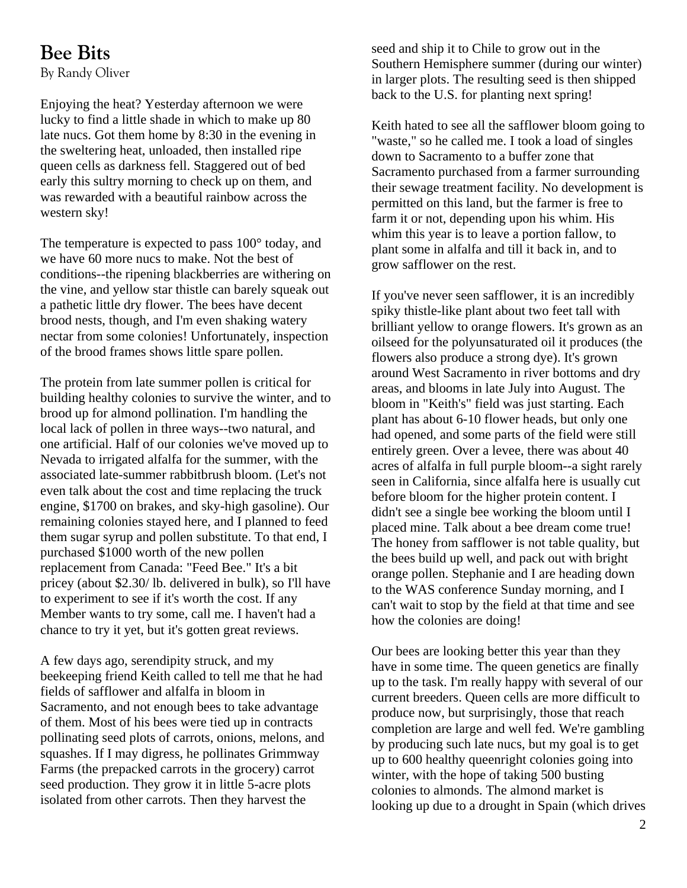## **Bee Bits**

By Randy Oliver

Enjoying the heat? Yesterday afternoon we were lucky to find a little shade in which to make up 80 late nucs. Got them home by 8:30 in the evening in the sweltering heat, unloaded, then installed ripe queen cells as darkness fell. Staggered out of bed early this sultry morning to check up on them, and was rewarded with a beautiful rainbow across the western sky!

The temperature is expected to pass 100° today, and we have 60 more nucs to make. Not the best of conditions--the ripening blackberries are withering on the vine, and yellow star thistle can barely squeak out a pathetic little dry flower. The bees have decent brood nests, though, and I'm even shaking watery nectar from some colonies! Unfortunately, inspection of the brood frames shows little spare pollen.

The protein from late summer pollen is critical for building healthy colonies to survive the winter, and to brood up for almond pollination. I'm handling the local lack of pollen in three ways--two natural, and one artificial. Half of our colonies we've moved up to Nevada to irrigated alfalfa for the summer, with the associated late-summer rabbitbrush bloom. (Let's not even talk about the cost and time replacing the truck engine, \$1700 on brakes, and sky-high gasoline). Our remaining colonies stayed here, and I planned to feed them sugar syrup and pollen substitute. To that end, I purchased \$1000 worth of the new pollen replacement from Canada: "Feed Bee." It's a bit pricey (about \$2.30/ lb. delivered in bulk), so I'll have to experiment to see if it's worth the cost. If any Member wants to try some, call me. I haven't had a chance to try it yet, but it's gotten great reviews.

A few days ago, serendipity struck, and my beekeeping friend Keith called to tell me that he had fields of safflower and alfalfa in bloom in Sacramento, and not enough bees to take advantage of them. Most of his bees were tied up in contracts pollinating seed plots of carrots, onions, melons, and squashes. If I may digress, he pollinates Grimmway Farms (the prepacked carrots in the grocery) carrot seed production. They grow it in little 5-acre plots isolated from other carrots. Then they harvest the

seed and ship it to Chile to grow out in the Southern Hemisphere summer (during our winter) in larger plots. The resulting seed is then shipped back to the U.S. for planting next spring!

Keith hated to see all the safflower bloom going to "waste," so he called me. I took a load of singles down to Sacramento to a buffer zone that Sacramento purchased from a farmer surrounding their sewage treatment facility. No development is permitted on this land, but the farmer is free to farm it or not, depending upon his whim. His whim this year is to leave a portion fallow, to plant some in alfalfa and till it back in, and to grow safflower on the rest.

If you've never seen safflower, it is an incredibly spiky thistle-like plant about two feet tall with brilliant yellow to orange flowers. It's grown as an oilseed for the polyunsaturated oil it produces (the flowers also produce a strong dye). It's grown around West Sacramento in river bottoms and dry areas, and blooms in late July into August. The bloom in "Keith's" field was just starting. Each plant has about 6-10 flower heads, but only one had opened, and some parts of the field were still entirely green. Over a levee, there was about 40 acres of alfalfa in full purple bloom--a sight rarely seen in California, since alfalfa here is usually cut before bloom for the higher protein content. I didn't see a single bee working the bloom until I placed mine. Talk about a bee dream come true! The honey from safflower is not table quality, but the bees build up well, and pack out with bright orange pollen. Stephanie and I are heading down to the WAS conference Sunday morning, and I can't wait to stop by the field at that time and see how the colonies are doing!

Our bees are looking better this year than they have in some time. The queen genetics are finally up to the task. I'm really happy with several of our current breeders. Queen cells are more difficult to produce now, but surprisingly, those that reach completion are large and well fed. We're gambling by producing such late nucs, but my goal is to get up to 600 healthy queenright colonies going into winter, with the hope of taking 500 busting colonies to almonds. The almond market is looking up due to a drought in Spain (which drives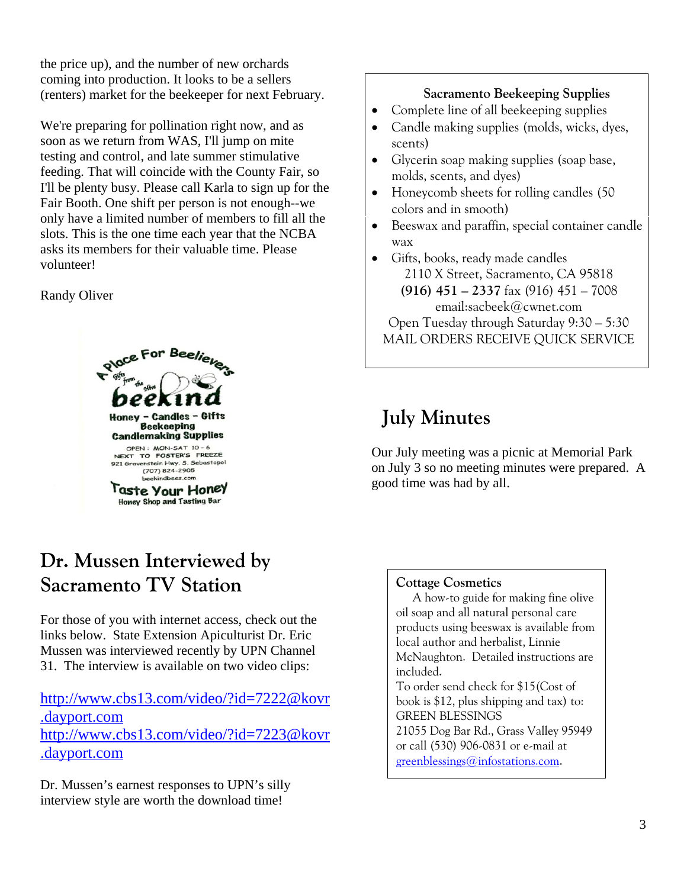the price up), and the number of new orchards coming into production. It looks to be a sellers (renters) market for the beekeeper for next February.

We're preparing for pollination right now, and as soon as we return from WAS, I'll jump on mite testing and control, and late summer stimulative feeding. That will coincide with the County Fair, so I'll be plenty busy. Please call Karla to sign up for the Fair Booth. One shift per person is not enough--we only have a limited number of members to fill all the slots. This is the one time each year that the NCBA asks its members for their valuable time. Please volunteer!

### Randy Oliver



# **Dr. Mussen Interviewed by Sacramento TV Station**

For those of you with internet access, check out the links below. State Extension Apiculturist Dr. Eric Mussen was interviewed recently by UPN Channel 31. The interview is available on two video clips:

## http://www.cbs13.com/video/?id=7222@kovr .dayport.com http://www.cbs13.com/video/?id=7223@kovr .dayport.com

Dr. Mussen's earnest responses to UPN's silly interview style are worth the download time!

### **Sacramento Beekeeping Supplies**

- Complete line of all beekeeping supplies
- Candle making supplies (molds, wicks, dyes, scents)
- Glycerin soap making supplies (soap base, molds, scents, and dyes)
- Honeycomb sheets for rolling candles (50 colors and in smooth)
- Beeswax and paraffin, special container candle wax
- Gifts, books, ready made candles 2110 X Street, Sacramento, CA 95818 **(916) 451 – 2337** fax (916) 451 – 7008 email:sacbeek@cwnet.com Open Tuesday through Saturday 9:30 – 5:30 MAIL ORDERS RECEIVE QUICK SERVICE

# **July Minutes**

Our July meeting was a picnic at Memorial Park on July 3 so no meeting minutes were prepared. A good time was had by all.

### **Cottage Cosmetics**

A how-to guide for making fine olive oil soap and all natural personal care products using beeswax is available from local author and herbalist, Linnie McNaughton. Detailed instructions are included. To order send check for \$15(Cost of

book is \$12, plus shipping and tax) to: GREEN BLESSINGS 21055 Dog Bar Rd., Grass Valley 95949 or call (530) 906-0831 or e-mail at greenblessings@infostations.com.